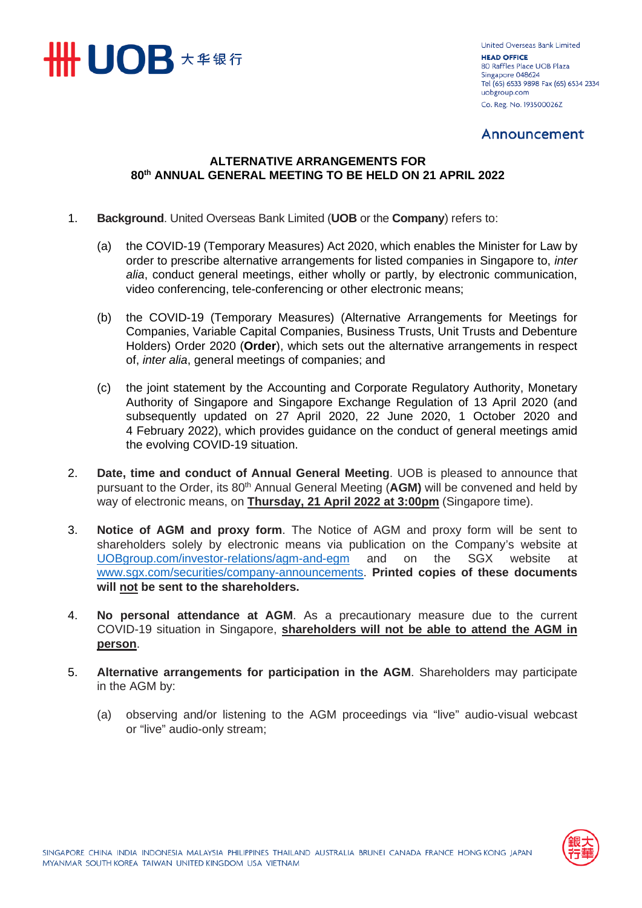

**United Overseas Bank Limited HEAD OFFICE** 80 Raffles Place UOB Plaza Singapore 048624 Tel (65) 6533 9898 Fax (65) 6534 2334 uobgroup.com Co. Reg. No. 193500026Z

### Annound

### **ALTERNATIVE ARRANGEMENTS FOR 80th ANNUAL GENERAL MEETING TO BE HELD ON 21 APRIL 2022**

- 1. **Background**. United Overseas Bank Limited (**UOB** or the **Company**) refers to:
	- (a) the COVID-19 (Temporary Measures) Act 2020, which enables the Minister for Law by order to prescribe alternative arrangements for listed companies in Singapore to, *inter alia*, conduct general meetings, either wholly or partly, by electronic communication, video conferencing, tele-conferencing or other electronic means;
	- (b) the COVID-19 (Temporary Measures) (Alternative Arrangements for Meetings for Companies, Variable Capital Companies, Business Trusts, Unit Trusts and Debenture Holders) Order 2020 (**Order**), which sets out the alternative arrangements in respect of, *inter alia*, general meetings of companies; and
	- (c) the joint statement by the Accounting and Corporate Regulatory Authority, Monetary Authority of Singapore and Singapore Exchange Regulation of 13 April 2020 (and subsequently updated on 27 April 2020, 22 June 2020, 1 October 2020 and 4 February 2022), which provides guidance on the conduct of general meetings amid the evolving COVID-19 situation.
- 2. **Date, time and conduct of Annual General Meeting**. UOB is pleased to announce that pursuant to the Order, its 80<sup>th</sup> Annual General Meeting (**AGM**) will be convened and held by way of electronic means, on **Thursday, 21 April 2022 at 3:00pm** (Singapore time).
- 3. **Notice of AGM and proxy form**. The Notice of AGM and proxy form will be sent to shareholders solely by electronic means via publication on the Company's website at [UOBgroup.com/investor-relations/agm-and-egm](https://www.uobgroup.com/investor-relations/agm-and-egm) and on the SGX website at [www.sgx.com/securities/company-announcements.](https://www.sgx.com/securities/company-announcements) **Printed copies of these documents will not be sent to the shareholders.**
- 4. **No personal attendance at AGM**. As a precautionary measure due to the current COVID-19 situation in Singapore, **shareholders will not be able to attend the AGM in person**.
- 5. **Alternative arrangements for participation in the AGM**. Shareholders may participate in the AGM by:
	- (a) observing and/or listening to the AGM proceedings via "live" audio-visual webcast or "live" audio-only stream;

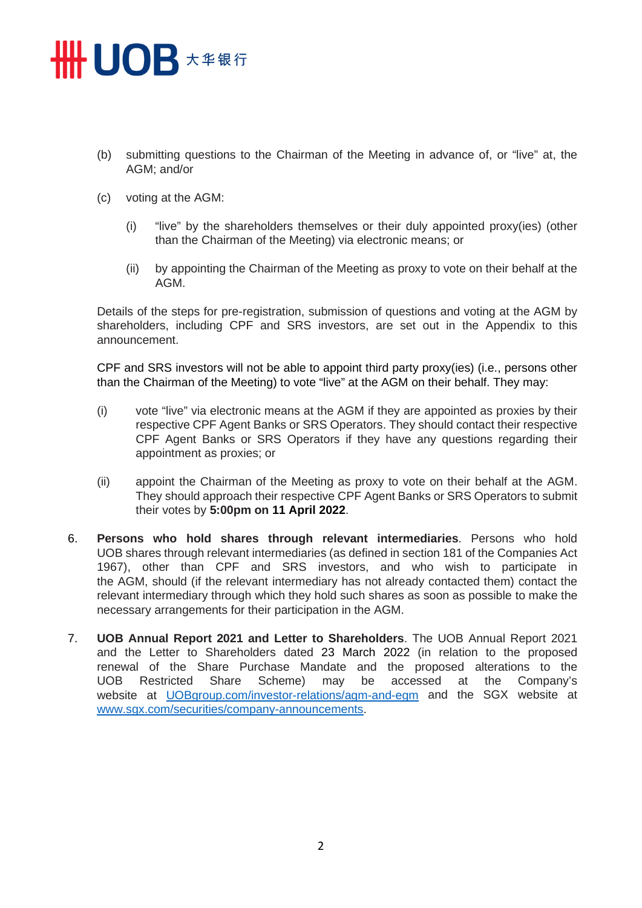## **HHUOB 大华银行**

- (b) submitting questions to the Chairman of the Meeting in advance of, or "live" at, the AGM; and/or
- (c) voting at the AGM:
	- (i) "live" by the shareholders themselves or their duly appointed proxy(ies) (other than the Chairman of the Meeting) via electronic means; or
	- (ii) by appointing the Chairman of the Meeting as proxy to vote on their behalf at the AGM.

Details of the steps for pre-registration, submission of questions and voting at the AGM by shareholders, including CPF and SRS investors, are set out in the Appendix to this announcement.

CPF and SRS investors will not be able to appoint third party proxy(ies) (i.e., persons other than the Chairman of the Meeting) to vote "live" at the AGM on their behalf. They may:

- (i) vote "live" via electronic means at the AGM if they are appointed as proxies by their respective CPF Agent Banks or SRS Operators. They should contact their respective CPF Agent Banks or SRS Operators if they have any questions regarding their appointment as proxies; or
- (ii) appoint the Chairman of the Meeting as proxy to vote on their behalf at the AGM. They should approach their respective CPF Agent Banks or SRS Operators to submit their votes by **5:00pm on 11 April 2022**.
- 6. **Persons who hold shares through relevant intermediaries**. Persons who hold UOB shares through relevant intermediaries (as defined in section 181 of the Companies Act 1967), other than CPF and SRS investors, and who wish to participate in the AGM, should (if the relevant intermediary has not already contacted them) contact the relevant intermediary through which they hold such shares as soon as possible to make the necessary arrangements for their participation in the AGM.
- 7. **UOB Annual Report 2021 and Letter to Shareholders**. The UOB Annual Report 2021 and the Letter to Shareholders dated 23 March 2022 (in relation to the proposed renewal of the Share Purchase Mandate and the proposed alterations to the UOB Restricted Share Scheme) may be accessed at the Company's UOB Restricted Share Scheme) may be accessed at the Company's website at [UOBgroup.com/investor-relations/agm-and-egm](http://www.uobgroup.com/investor-relations/agm-and-egm) and the SGX website at [www.sgx.com/securities/company-announcements.](https://www.sgx.com/securities/company-announcements)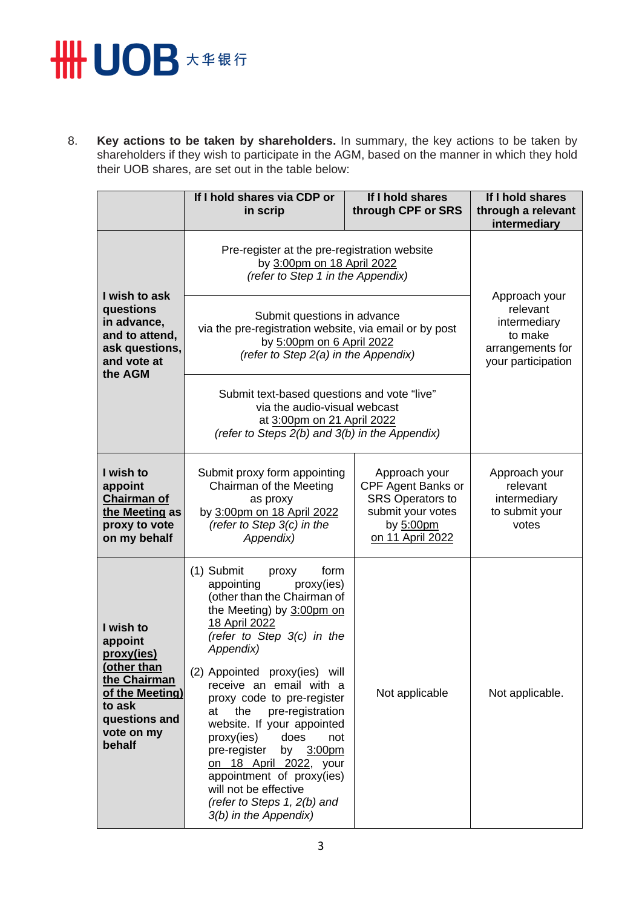# **HH UOB \*\*\*\***

8. **Key actions to be taken by shareholders.** In summary, the key actions to be taken by shareholders if they wish to participate in the AGM, based on the manner in which they hold their UOB shares, are set out in the table below:

|                                                                                                                                         | If I hold shares via CDP or<br>in scrip                                                                                                                                                                                                                                                                                                                                                                                                                                                                                                        | If I hold shares<br>through CPF or SRS                                                                               | If I hold shares<br>through a relevant<br>intermediary                                         |
|-----------------------------------------------------------------------------------------------------------------------------------------|------------------------------------------------------------------------------------------------------------------------------------------------------------------------------------------------------------------------------------------------------------------------------------------------------------------------------------------------------------------------------------------------------------------------------------------------------------------------------------------------------------------------------------------------|----------------------------------------------------------------------------------------------------------------------|------------------------------------------------------------------------------------------------|
|                                                                                                                                         | Pre-register at the pre-registration website<br>by 3:00pm on 18 April 2022<br>(refer to Step 1 in the Appendix)                                                                                                                                                                                                                                                                                                                                                                                                                                |                                                                                                                      |                                                                                                |
| I wish to ask<br>questions<br>in advance,<br>and to attend,<br>ask questions,<br>and vote at<br>the AGM                                 | Submit questions in advance<br>via the pre-registration website, via email or by post<br>by 5:00pm on 6 April 2022<br>(refer to Step 2(a) in the Appendix)                                                                                                                                                                                                                                                                                                                                                                                     |                                                                                                                      | Approach your<br>relevant<br>intermediary<br>to make<br>arrangements for<br>your participation |
|                                                                                                                                         | Submit text-based questions and vote "live"<br>via the audio-visual webcast<br>at 3:00pm on 21 April 2022<br>(refer to Steps 2(b) and 3(b) in the Appendix)                                                                                                                                                                                                                                                                                                                                                                                    |                                                                                                                      |                                                                                                |
| I wish to<br>appoint<br><b>Chairman of</b><br>the Meeting as<br>proxy to vote<br>on my behalf                                           | Submit proxy form appointing<br>Chairman of the Meeting<br>as proxy<br>by 3:00pm on 18 April 2022<br>(refer to Step $3(c)$ in the<br>Appendix)                                                                                                                                                                                                                                                                                                                                                                                                 | Approach your<br>CPF Agent Banks or<br><b>SRS Operators to</b><br>submit your votes<br>by 5:00pm<br>on 11 April 2022 | Approach your<br>relevant<br>intermediary<br>to submit your<br>votes                           |
| I wish to<br>appoint<br>proxy(ies)<br>(other than<br>the Chairman<br>of the Meeting)<br>to ask<br>questions and<br>vote on my<br>behalf | (1) Submit<br>proxy<br>form<br>appointing<br>proxy(ies)<br>(other than the Chairman of<br>the Meeting) by 3:00pm on<br>18 April 2022<br>(refer to Step $3(c)$ in the<br>Appendix)<br>(2) Appointed proxy(ies) will<br>receive an email with a<br>proxy code to pre-register<br>the<br>at<br>pre-registration<br>website. If your appointed<br>does<br>proxy(ies)<br>not<br>pre-register<br>by 3:00pm<br>on 18 April 2022, your<br>appointment of proxy(ies)<br>will not be effective<br>(refer to Steps $1, 2(b)$ and<br>3(b) in the Appendix) | Not applicable                                                                                                       | Not applicable.                                                                                |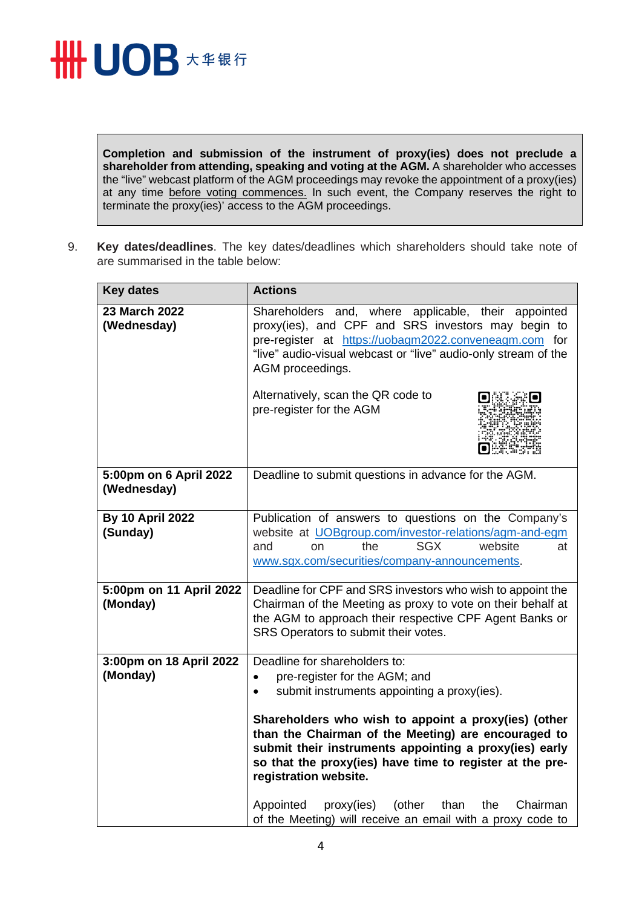

**Completion and submission of the instrument of proxy(ies) does not preclude a shareholder from attending, speaking and voting at the AGM.** A shareholder who accesses the "live" webcast platform of the AGM proceedings may revoke the appointment of a proxy(ies) at any time before voting commences. In such event, the Company reserves the right to terminate the proxy(ies)' access to the AGM proceedings.

9. **Key dates/deadlines**. The key dates/deadlines which shareholders should take note of are summarised in the table below:

| <b>Key dates</b>                      | <b>Actions</b>                                                                                                                                                                                                                                                                                                                                                                                                                                                        |
|---------------------------------------|-----------------------------------------------------------------------------------------------------------------------------------------------------------------------------------------------------------------------------------------------------------------------------------------------------------------------------------------------------------------------------------------------------------------------------------------------------------------------|
| 23 March 2022<br>(Wednesday)          | Shareholders and, where applicable, their appointed<br>proxy(ies), and CPF and SRS investors may begin to<br>pre-register at https://uobagm2022.conveneagm.com for<br>"live" audio-visual webcast or "live" audio-only stream of the<br>AGM proceedings.<br>Alternatively, scan the QR code to<br>pre-register for the AGM                                                                                                                                            |
| 5:00pm on 6 April 2022<br>(Wednesday) | Deadline to submit questions in advance for the AGM.                                                                                                                                                                                                                                                                                                                                                                                                                  |
| <b>By 10 April 2022</b><br>(Sunday)   | Publication of answers to questions on the Company's<br>website at UOBgroup.com/investor-relations/agm-and-egm<br>the<br><b>SGX</b><br>website<br>and<br><sub>on</sub><br>at<br>www.sgx.com/securities/company-announcements.                                                                                                                                                                                                                                         |
| 5:00pm on 11 April 2022<br>(Monday)   | Deadline for CPF and SRS investors who wish to appoint the<br>Chairman of the Meeting as proxy to vote on their behalf at<br>the AGM to approach their respective CPF Agent Banks or<br>SRS Operators to submit their votes.                                                                                                                                                                                                                                          |
| 3:00pm on 18 April 2022<br>(Monday)   | Deadline for shareholders to:<br>pre-register for the AGM; and<br>$\bullet$<br>submit instruments appointing a proxy(ies).<br>$\bullet$<br>Shareholders who wish to appoint a proxy(ies) (other<br>than the Chairman of the Meeting) are encouraged to<br>submit their instruments appointing a proxy(ies) early<br>so that the proxy(ies) have time to register at the pre-<br>registration website.<br>Appointed<br>proxy(ies)<br>(other<br>than<br>the<br>Chairman |
|                                       | of the Meeting) will receive an email with a proxy code to                                                                                                                                                                                                                                                                                                                                                                                                            |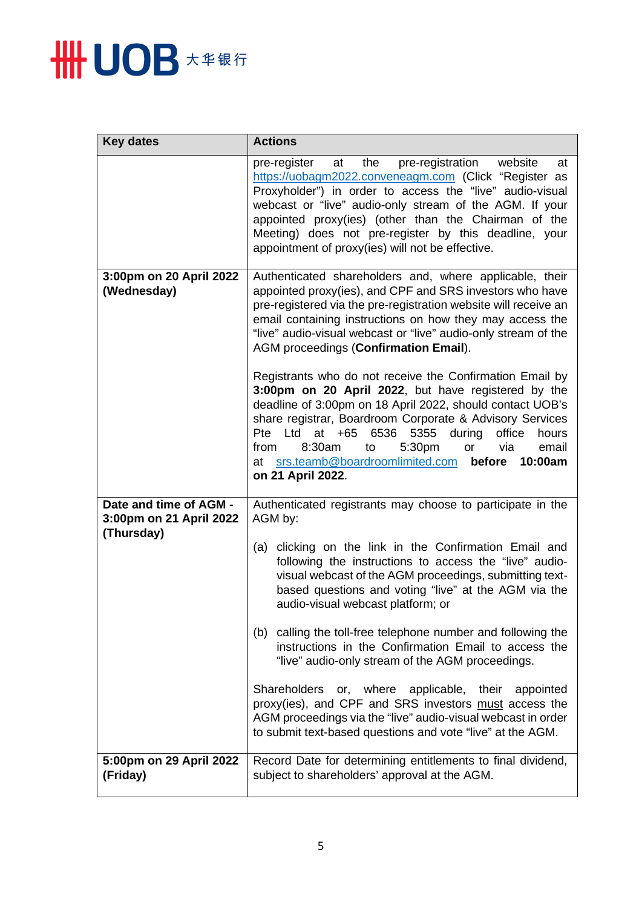

| <b>Key dates</b>                                                | <b>Actions</b>                                                                                                                                                                                                                                                                                                                                                                                                                                      |
|-----------------------------------------------------------------|-----------------------------------------------------------------------------------------------------------------------------------------------------------------------------------------------------------------------------------------------------------------------------------------------------------------------------------------------------------------------------------------------------------------------------------------------------|
|                                                                 | pre-register<br>the<br>pre-registration website<br>at<br>at<br>https://uobagm2022.conveneagm.com (Click "Register as<br>Proxyholder") in order to access the "live" audio-visual<br>webcast or "live" audio-only stream of the AGM. If your<br>appointed proxy(ies) (other than the Chairman of the<br>Meeting) does not pre-register by this deadline, your<br>appointment of proxy(ies) will not be effective.                                    |
| 3:00pm on 20 April 2022<br>(Wednesday)                          | Authenticated shareholders and, where applicable, their<br>appointed proxy(ies), and CPF and SRS investors who have<br>pre-registered via the pre-registration website will receive an<br>email containing instructions on how they may access the<br>"live" audio-visual webcast or "live" audio-only stream of the<br>AGM proceedings (Confirmation Email).                                                                                       |
|                                                                 | Registrants who do not receive the Confirmation Email by<br>3:00pm on 20 April 2022, but have registered by the<br>deadline of 3:00pm on 18 April 2022, should contact UOB's<br>share registrar, Boardroom Corporate & Advisory Services<br>6536<br>5355<br>Pte Ltd<br>at<br>$+65$<br>during<br>office<br>hours<br>8:30am<br>5:30pm<br>to<br>via<br>email<br>from<br>or<br>at srs.teamb@boardroomlimited.com before<br>10:00am<br>on 21 April 2022. |
| Date and time of AGM -<br>3:00pm on 21 April 2022<br>(Thursday) | Authenticated registrants may choose to participate in the<br>AGM by:                                                                                                                                                                                                                                                                                                                                                                               |
|                                                                 | (a) clicking on the link in the Confirmation Email and<br>following the instructions to access the "live" audio-<br>visual webcast of the AGM proceedings, submitting text-<br>based questions and voting "live" at the AGM via the<br>audio-visual webcast platform; or                                                                                                                                                                            |
|                                                                 | (b) calling the toll-free telephone number and following the<br>instructions in the Confirmation Email to access the<br>"live" audio-only stream of the AGM proceedings.                                                                                                                                                                                                                                                                            |
|                                                                 | Shareholders or, where applicable, their appointed<br>proxy(ies), and CPF and SRS investors must access the<br>AGM proceedings via the "live" audio-visual webcast in order<br>to submit text-based questions and vote "live" at the AGM.                                                                                                                                                                                                           |
| 5:00pm on 29 April 2022<br>(Friday)                             | Record Date for determining entitlements to final dividend,<br>subject to shareholders' approval at the AGM.                                                                                                                                                                                                                                                                                                                                        |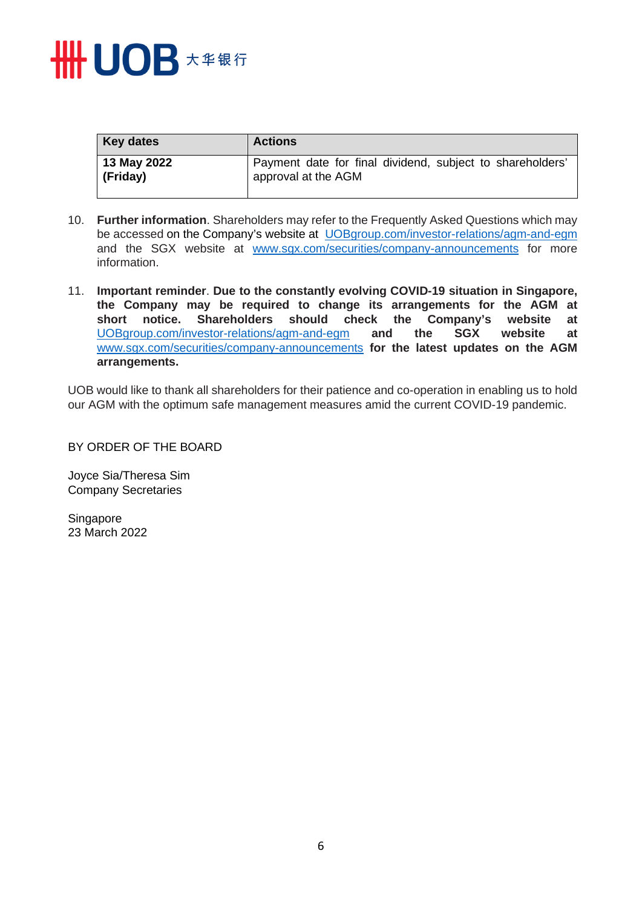

| <b>Key dates</b> | <b>Actions</b>                                            |
|------------------|-----------------------------------------------------------|
| 13 May 2022      | Payment date for final dividend, subject to shareholders' |
| (Friday)         | approval at the AGM                                       |

- 10. **Further information**. Shareholders may refer to the Frequently Asked Questions which may be accessed on the Company's website at [UOBgroup.com/investor-relations/agm-and-egm](https://www.uobgroup.com/investor-relations/agm-and-egm) and the SGX website at [www.sgx.com/securities/company-announcements](https://www.sgx.com/securities/company-announcements) for more information.
- 11. **Important reminder**. **Due to the constantly evolving COVID-19 situation in Singapore, the Company may be required to change its arrangements for the AGM at short notice. Shareholders should check the Company's website at**  [UOBgroup.com/investor-relations/agm-and-egm](https://www.uobgroup.com/investor-relations/agm-and-egm) **and the SGX website at**  [www.sgx.com/securities/company-announcements](https://www.sgx.com/securities/company-announcements) **for the latest updates on the AGM arrangements.**

UOB would like to thank all shareholders for their patience and co-operation in enabling us to hold our AGM with the optimum safe management measures amid the current COVID-19 pandemic.

BY ORDER OF THE BOARD

Joyce Sia/Theresa Sim Company Secretaries

**Singapore** 23 March 2022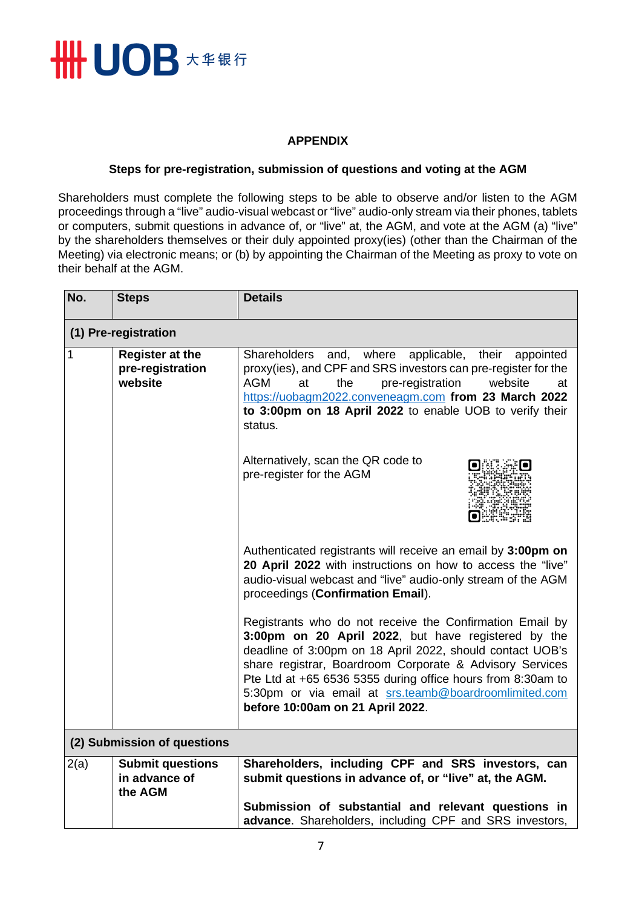

### **APPENDIX**

#### **Steps for pre-registration, submission of questions and voting at the AGM**

Shareholders must complete the following steps to be able to observe and/or listen to the AGM proceedings through a "live" audio-visual webcast or "live" audio-only stream via their phones, tablets or computers, submit questions in advance of, or "live" at, the AGM, and vote at the AGM (a) "live" by the shareholders themselves or their duly appointed proxy(ies) (other than the Chairman of the Meeting) via electronic means; or (b) by appointing the Chairman of the Meeting as proxy to vote on their behalf at the AGM.

| No.          | <b>Steps</b>                                          | <b>Details</b>                                                                                                                                                                                                                                                                                                                                                                                       |  |
|--------------|-------------------------------------------------------|------------------------------------------------------------------------------------------------------------------------------------------------------------------------------------------------------------------------------------------------------------------------------------------------------------------------------------------------------------------------------------------------------|--|
|              | (1) Pre-registration                                  |                                                                                                                                                                                                                                                                                                                                                                                                      |  |
| $\mathbf{1}$ | <b>Register at the</b><br>pre-registration<br>website | Shareholders and, where<br>applicable, their appointed<br>proxy(ies), and CPF and SRS investors can pre-register for the<br><b>AGM</b><br>pre-registration<br>website<br>at<br>the<br>at<br>https://uobagm2022.conveneagm.com from 23 March 2022<br>to 3:00pm on 18 April 2022 to enable UOB to verify their<br>status.                                                                              |  |
|              |                                                       | Alternatively, scan the QR code to<br>pre-register for the AGM                                                                                                                                                                                                                                                                                                                                       |  |
|              |                                                       | Authenticated registrants will receive an email by 3:00pm on<br>20 April 2022 with instructions on how to access the "live"<br>audio-visual webcast and "live" audio-only stream of the AGM<br>proceedings (Confirmation Email).                                                                                                                                                                     |  |
|              |                                                       | Registrants who do not receive the Confirmation Email by<br>3:00pm on 20 April 2022, but have registered by the<br>deadline of 3:00pm on 18 April 2022, should contact UOB's<br>share registrar, Boardroom Corporate & Advisory Services<br>Pte Ltd at +65 6536 5355 during office hours from 8:30am to<br>5:30pm or via email at srs.teamb@boardroomlimited.com<br>before 10:00am on 21 April 2022. |  |
|              | (2) Submission of questions                           |                                                                                                                                                                                                                                                                                                                                                                                                      |  |
| 2(a)         | <b>Submit questions</b><br>in advance of<br>the AGM   | Shareholders, including CPF and SRS investors, can<br>submit questions in advance of, or "live" at, the AGM.                                                                                                                                                                                                                                                                                         |  |
|              |                                                       | Submission of substantial and relevant questions in<br>advance. Shareholders, including CPF and SRS investors,                                                                                                                                                                                                                                                                                       |  |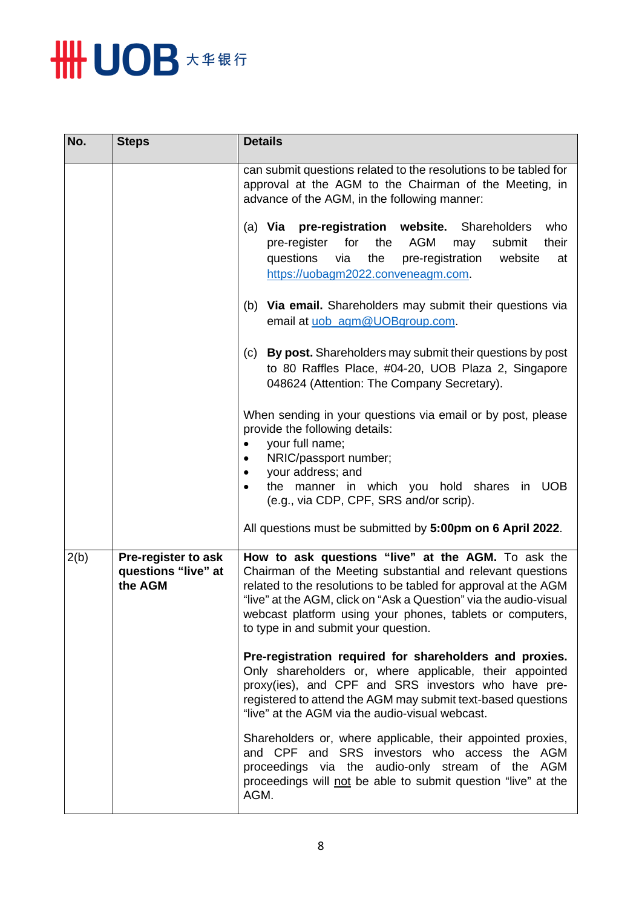

| No.  | <b>Steps</b>                                          | <b>Details</b>                                                                                                                                                                                                                                                                                                                                                |
|------|-------------------------------------------------------|---------------------------------------------------------------------------------------------------------------------------------------------------------------------------------------------------------------------------------------------------------------------------------------------------------------------------------------------------------------|
|      |                                                       | can submit questions related to the resolutions to be tabled for<br>approval at the AGM to the Chairman of the Meeting, in<br>advance of the AGM, in the following manner:                                                                                                                                                                                    |
|      |                                                       | (a) Via pre-registration website. Shareholders<br>who<br>pre-register for<br>the AGM<br>may<br>their<br>submit<br>questions<br>the<br>pre-registration<br>via<br>website<br>at<br>https://uobagm2022.conveneagm.com.                                                                                                                                          |
|      |                                                       | (b) Via email. Shareholders may submit their questions via<br>email at uob_agm@UOBgroup.com.                                                                                                                                                                                                                                                                  |
|      |                                                       | By post. Shareholders may submit their questions by post<br>(c)<br>to 80 Raffles Place, #04-20, UOB Plaza 2, Singapore<br>048624 (Attention: The Company Secretary).                                                                                                                                                                                          |
|      |                                                       | When sending in your questions via email or by post, please<br>provide the following details:<br>your full name;<br>NRIC/passport number;<br>your address; and<br>the manner in which you hold shares in UOB                                                                                                                                                  |
|      |                                                       | (e.g., via CDP, CPF, SRS and/or scrip).                                                                                                                                                                                                                                                                                                                       |
|      |                                                       | All questions must be submitted by 5:00pm on 6 April 2022.                                                                                                                                                                                                                                                                                                    |
| 2(b) | Pre-register to ask<br>questions "live" at<br>the AGM | How to ask questions "live" at the AGM. To ask the<br>Chairman of the Meeting substantial and relevant questions<br>related to the resolutions to be tabled for approval at the AGM<br>"live" at the AGM, click on "Ask a Question" via the audio-visual<br>webcast platform using your phones, tablets or computers,<br>to type in and submit your question. |
|      |                                                       | Pre-registration required for shareholders and proxies.<br>Only shareholders or, where applicable, their appointed<br>proxy(ies), and CPF and SRS investors who have pre-<br>registered to attend the AGM may submit text-based questions<br>"live" at the AGM via the audio-visual webcast.                                                                  |
|      |                                                       | Shareholders or, where applicable, their appointed proxies,<br>and CPF and SRS investors who access the AGM<br>proceedings via the audio-only stream of the AGM<br>proceedings will not be able to submit question "live" at the<br>AGM.                                                                                                                      |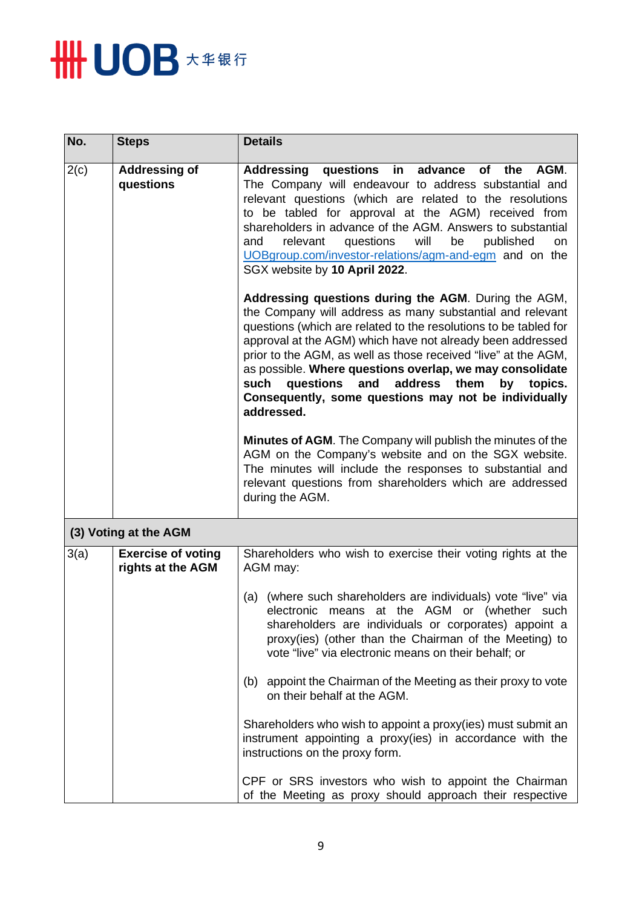

| No.  | <b>Steps</b>                                   | <b>Details</b>                                                                                                                                                                                                                                                                                                                                                                                                                                                                                                 |
|------|------------------------------------------------|----------------------------------------------------------------------------------------------------------------------------------------------------------------------------------------------------------------------------------------------------------------------------------------------------------------------------------------------------------------------------------------------------------------------------------------------------------------------------------------------------------------|
| 2(c) | <b>Addressing of</b><br>questions              | questions in<br>Addressing<br>advance<br>AGM.<br>of the<br>The Company will endeavour to address substantial and<br>relevant questions (which are related to the resolutions<br>to be tabled for approval at the AGM) received from<br>shareholders in advance of the AGM. Answers to substantial<br>relevant<br>questions<br>will<br>published<br>and<br>be<br><b>on</b><br>UOBgroup.com/investor-relations/agm-and-egm and on the<br>SGX website by 10 April 2022.                                           |
|      |                                                | Addressing questions during the AGM. During the AGM,<br>the Company will address as many substantial and relevant<br>questions (which are related to the resolutions to be tabled for<br>approval at the AGM) which have not already been addressed<br>prior to the AGM, as well as those received "live" at the AGM,<br>as possible. Where questions overlap, we may consolidate<br>such<br>questions and address<br>them<br>by topics.<br>Consequently, some questions may not be individually<br>addressed. |
|      |                                                | Minutes of AGM. The Company will publish the minutes of the<br>AGM on the Company's website and on the SGX website.<br>The minutes will include the responses to substantial and<br>relevant questions from shareholders which are addressed<br>during the AGM.                                                                                                                                                                                                                                                |
|      | (3) Voting at the AGM                          |                                                                                                                                                                                                                                                                                                                                                                                                                                                                                                                |
| 3(a) | <b>Exercise of voting</b><br>rights at the AGM | Shareholders who wish to exercise their voting rights at the<br>AGM may:                                                                                                                                                                                                                                                                                                                                                                                                                                       |
|      |                                                | (a) (where such shareholders are individuals) vote "live" via<br>electronic means at the AGM or (whether such<br>shareholders are individuals or corporates) appoint a<br>proxy(ies) (other than the Chairman of the Meeting) to<br>vote "live" via electronic means on their behalf; or                                                                                                                                                                                                                       |
|      |                                                | appoint the Chairman of the Meeting as their proxy to vote<br>(b)<br>on their behalf at the AGM.                                                                                                                                                                                                                                                                                                                                                                                                               |
|      |                                                | Shareholders who wish to appoint a proxy(ies) must submit an<br>instrument appointing a proxy(ies) in accordance with the<br>instructions on the proxy form.                                                                                                                                                                                                                                                                                                                                                   |
|      |                                                | CPF or SRS investors who wish to appoint the Chairman<br>of the Meeting as proxy should approach their respective                                                                                                                                                                                                                                                                                                                                                                                              |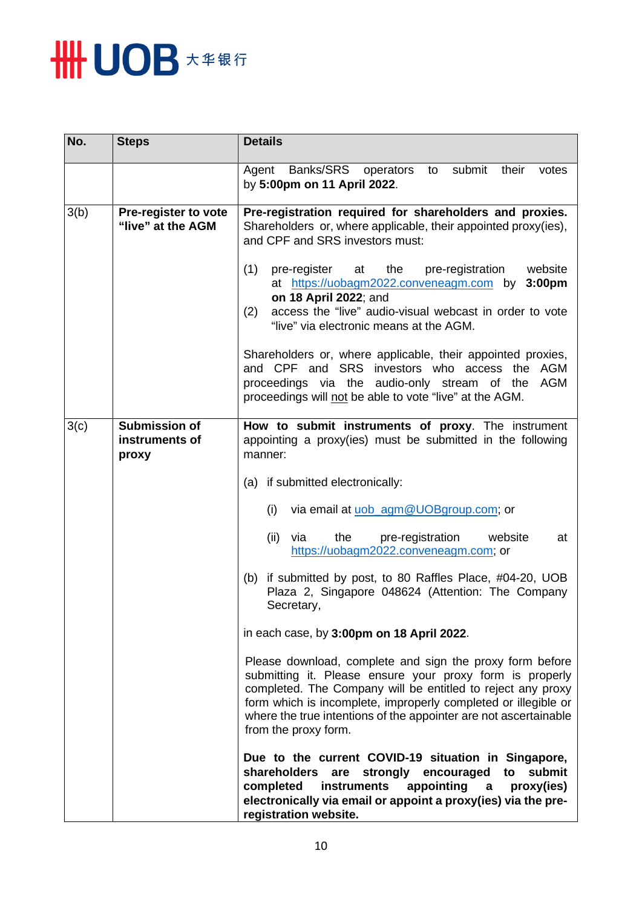

| No.  | <b>Steps</b>                                    | <b>Details</b>                                                                                                                                                                                                                                                                                                                                                                                                                      |  |
|------|-------------------------------------------------|-------------------------------------------------------------------------------------------------------------------------------------------------------------------------------------------------------------------------------------------------------------------------------------------------------------------------------------------------------------------------------------------------------------------------------------|--|
|      |                                                 | Banks/SRS operators<br>submit<br>to<br>their<br>Agent<br>votes<br>by 5:00pm on 11 April 2022.                                                                                                                                                                                                                                                                                                                                       |  |
| 3(b) | Pre-register to vote<br>"live" at the AGM       | Pre-registration required for shareholders and proxies.<br>Shareholders or, where applicable, their appointed proxy(ies),<br>and CPF and SRS investors must:<br>(1)<br>website<br>pre-register at<br>the<br>pre-registration<br>at https://uobagm2022.conveneagm.com by<br>3:00 <sub>pm</sub><br>on 18 April 2022; and<br>access the "live" audio-visual webcast in order to vote<br>(2)<br>"live" via electronic means at the AGM. |  |
|      |                                                 | Shareholders or, where applicable, their appointed proxies,<br>and CPF and SRS investors who access the AGM<br>proceedings via the audio-only stream of the<br>AGM<br>proceedings will not be able to vote "live" at the AGM.                                                                                                                                                                                                       |  |
| 3(c) | <b>Submission of</b><br>instruments of<br>proxy | How to submit instruments of proxy. The instrument<br>appointing a proxy(ies) must be submitted in the following<br>manner:                                                                                                                                                                                                                                                                                                         |  |
|      |                                                 | (a) if submitted electronically:                                                                                                                                                                                                                                                                                                                                                                                                    |  |
|      |                                                 | (i)<br>via email at uob_agm@UOBgroup.com; or                                                                                                                                                                                                                                                                                                                                                                                        |  |
|      |                                                 | (ii)<br>via<br>the<br>pre-registration<br>website<br>at<br>https://uobagm2022.conveneagm.com; or                                                                                                                                                                                                                                                                                                                                    |  |
|      |                                                 | (b) if submitted by post, to 80 Raffles Place, #04-20, UOB<br>Plaza 2, Singapore 048624 (Attention: The Company<br>Secretary,                                                                                                                                                                                                                                                                                                       |  |
|      |                                                 | in each case, by 3:00pm on 18 April 2022.                                                                                                                                                                                                                                                                                                                                                                                           |  |
|      |                                                 | Please download, complete and sign the proxy form before<br>submitting it. Please ensure your proxy form is properly<br>completed. The Company will be entitled to reject any proxy<br>form which is incomplete, improperly completed or illegible or<br>where the true intentions of the appointer are not ascertainable<br>from the proxy form.                                                                                   |  |
|      |                                                 | Due to the current COVID-19 situation in Singapore,<br>submit<br>shareholders<br>strongly<br>are<br>encouraged<br>to<br>appointing<br>completed<br>instruments<br>proxy(ies)<br>a<br>electronically via email or appoint a proxy(ies) via the pre-<br>registration website.                                                                                                                                                         |  |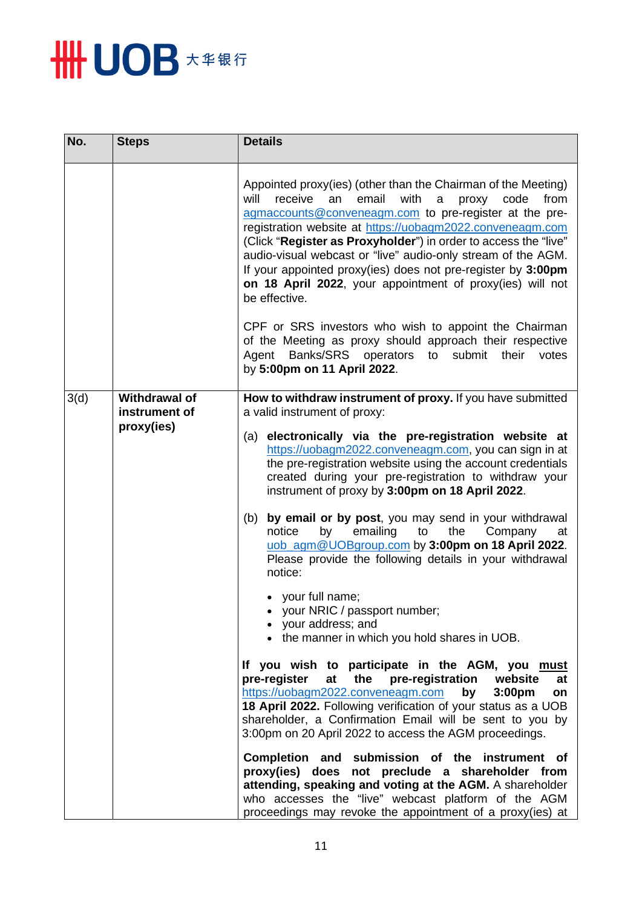

| No.  | <b>Steps</b>                                        | <b>Details</b>                                                                                                                                                                                                                                                                                                                                                                                                                                                                                                                                                                                                                                                                                                                                                                                                                                                                                                                                                                                                                                                                                                                                                                                                                                                                                                                                                                                                                                 |
|------|-----------------------------------------------------|------------------------------------------------------------------------------------------------------------------------------------------------------------------------------------------------------------------------------------------------------------------------------------------------------------------------------------------------------------------------------------------------------------------------------------------------------------------------------------------------------------------------------------------------------------------------------------------------------------------------------------------------------------------------------------------------------------------------------------------------------------------------------------------------------------------------------------------------------------------------------------------------------------------------------------------------------------------------------------------------------------------------------------------------------------------------------------------------------------------------------------------------------------------------------------------------------------------------------------------------------------------------------------------------------------------------------------------------------------------------------------------------------------------------------------------------|
|      |                                                     | Appointed proxy(ies) (other than the Chairman of the Meeting)<br>email<br>with<br>receive<br>from<br>will<br>an<br>a<br>proxy<br>code<br>agmaccounts@conveneagm.com to pre-register at the pre-<br>registration website at https://uobagm2022.conveneagm.com<br>(Click "Register as Proxyholder") in order to access the "live"<br>audio-visual webcast or "live" audio-only stream of the AGM.<br>If your appointed proxy(ies) does not pre-register by 3:00pm<br>on 18 April 2022, your appointment of proxy(ies) will not<br>be effective.                                                                                                                                                                                                                                                                                                                                                                                                                                                                                                                                                                                                                                                                                                                                                                                                                                                                                                  |
|      |                                                     | CPF or SRS investors who wish to appoint the Chairman<br>of the Meeting as proxy should approach their respective<br>Banks/SRS<br>operators<br>submit<br>their<br>Agent<br>to<br>votes<br>by 5:00pm on 11 April 2022.                                                                                                                                                                                                                                                                                                                                                                                                                                                                                                                                                                                                                                                                                                                                                                                                                                                                                                                                                                                                                                                                                                                                                                                                                          |
| 3(d) | <b>Withdrawal of</b><br>instrument of<br>proxy(ies) | How to withdraw instrument of proxy. If you have submitted<br>a valid instrument of proxy:<br>(a) electronically via the pre-registration website at<br>https://uobagm2022.conveneagm.com, you can sign in at<br>the pre-registration website using the account credentials<br>created during your pre-registration to withdraw your<br>instrument of proxy by 3:00pm on 18 April 2022.<br>by email or by post, you may send in your withdrawal<br>(b)<br>emailing<br>notice<br>by<br>to<br>the<br>Company<br>at<br>uob_agm@UOBgroup.com by 3:00pm on 18 April 2022.<br>Please provide the following details in your withdrawal<br>notice:<br>• your full name;<br>• your NRIC / passport number;<br>• your address; and<br>• the manner in which you hold shares in UOB.<br>If you wish to participate in the AGM, you must<br>the pre-registration<br>pre-register<br>website<br>at<br>at<br>https://uobagm2022.conveneagm.com<br>3:00 <sub>pm</sub><br>by<br>on<br>18 April 2022. Following verification of your status as a UOB<br>shareholder, a Confirmation Email will be sent to you by<br>3:00pm on 20 April 2022 to access the AGM proceedings.<br>Completion and submission of the instrument of<br>proxy(ies) does not preclude a shareholder from<br>attending, speaking and voting at the AGM. A shareholder<br>who accesses the "live" webcast platform of the AGM<br>proceedings may revoke the appointment of a proxy(ies) at |